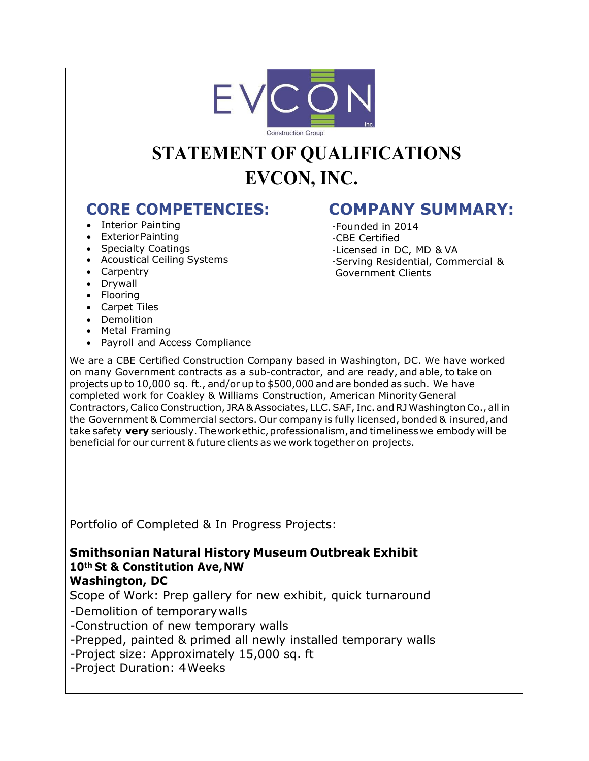

# **STATEMENT OF QUALIFICATIONS EVCON, INC.**

- Interior Painting
- Exterior Painting
- Specialty Coatings
- Acoustical Ceiling Systems
- Carpentry
- Drywall
- Flooring
- Carpet Tiles
- Demolition
- Metal Framing
- Payroll and Access Compliance

# **CORE COMPETENCIES: COMPANY SUMMARY:**

-Founded in 2014 -CBE Certified -Licensed in DC, MD & VA -Serving Residential, Commercial & Government Clients

We are a CBE Certified Construction Company based in Washington, DC. We have worked on many Government contracts as a sub-contractor, and are ready, and able, to take on projects up to 10,000 sq. ft., and/or up to \$500,000 and are bonded as such. We have completed work for Coakley & Williams Construction, American Minority General Contractors, Calico Construction, JRA & Associates, LLC. SAF, Inc. and RJWashington Co., all in the Government & Commercial sectors. Our company is fully licensed, bonded & insured, and take safety **very** seriously. The work ethic, professionalism, and timelinesswe embody will be beneficial for our current & future clients as we work together on projects.

Portfolio of Completed & In Progress Projects:

# **Smithsonian Natural History Museum Outbreak Exhibit 10th St & Constitution Ave, NW**

#### **Washington, DC**

Scope of Work: Prep gallery for new exhibit, quick turnaround

-Demolition of temporary walls

-Construction of new temporary walls

-Prepped, painted & primed all newly installed temporary walls

-Project size: Approximately 15,000 sq. ft

-Project Duration: 4 Weeks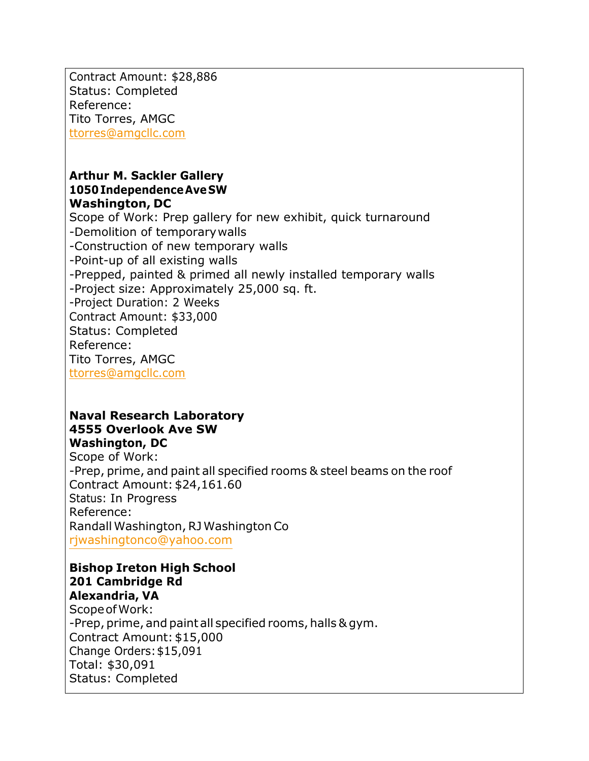Contract Amount: \$28,886 Status: Completed Reference: Tito Torres, AMGC [ttorres@amgcllc.com](mailto:ttorres@amgcllc.com)

#### **Arthur M. Sackler Gallery 1050 IndependenceAve SW Washington, DC**

Scope of Work: Prep gallery for new exhibit, quick turnaround -Demolition of temporarywalls -Construction of new temporary walls -Point-up of all existing walls -Prepped, painted & primed all newly installed temporary walls -Project size: Approximately 25,000 sq. ft. -Project Duration: 2 Weeks Contract Amount: \$33,000 Status: Completed Reference: Tito Torres, AMGC [ttorres@amgcllc.com](mailto:ttorres@amgcllc.com)

#### **Naval Research Laboratory 4555 Overlook Ave SW Washington, DC**

Scope of Work: -Prep, prime, and paint all specified rooms & steel beams on the roof Contract Amount: \$24,161.60 Status: In Progress Reference: Randall Washington, RJ Washington Co [rjwashingtonco@yahoo.com](mailto:rjwashingtonco@yahoo.com)

#### **Bishop Ireton High School 201 Cambridge Rd**

**Alexandria, VA** Scope ofWork: -Prep, prime, and paint all specified rooms, halls & gym. Contract Amount: \$15,000 Change Orders: \$15,091 Total: \$30,091 Status: Completed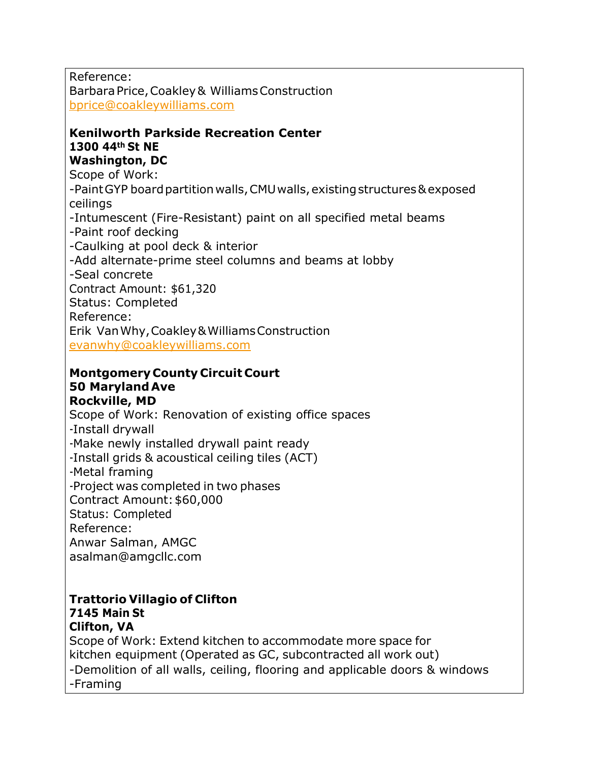Reference: Barbara Price, Coakley & Williams Construction [bprice@coakleywilliams.com](mailto:bprice@coakleywilliams.com)

### **Kenilworth Parkside Recreation Center 1300 44th St NE**

#### **Washington, DC**

Scope of Work:

-Paint GYP board partition walls, CMU walls, existing structures & exposed ceilings

-Intumescent (Fire-Resistant) paint on all specified metal beams -Paint roof decking

-Caulking at pool deck & interior

-Add alternate-prime steel columns and beams at lobby

-Seal concrete

Contract Amount: \$61,320

Status: Completed

Reference:

Erik Van Why, Coakley & Williams Construction [evanwhy@coakleywilliams.com](mailto:evanwhy@coakleywilliams.com)

#### **Montgomery County Circuit Court 50 Maryland Ave**

# **Rockville, MD**

Scope of Work: Renovation of existing office spaces -Install drywall -Make newly installed drywall paint ready -Install grids & acoustical ceiling tiles (ACT) -Metal framing -Project was completed in two phases Contract Amount: \$60,000 Status: Completed Reference: Anwar Salman, AMGC [asalman@amgcllc.com](mailto:asalman@amgcllc.com)

#### **Trattorio Villagio of Clifton 7145 Main St Clifton, VA**

Scope of Work: Extend kitchen to accommodate more space for kitchen equipment (Operated as GC, subcontracted all work out) -Demolition of all walls, ceiling, flooring and applicable doors & windows -Framing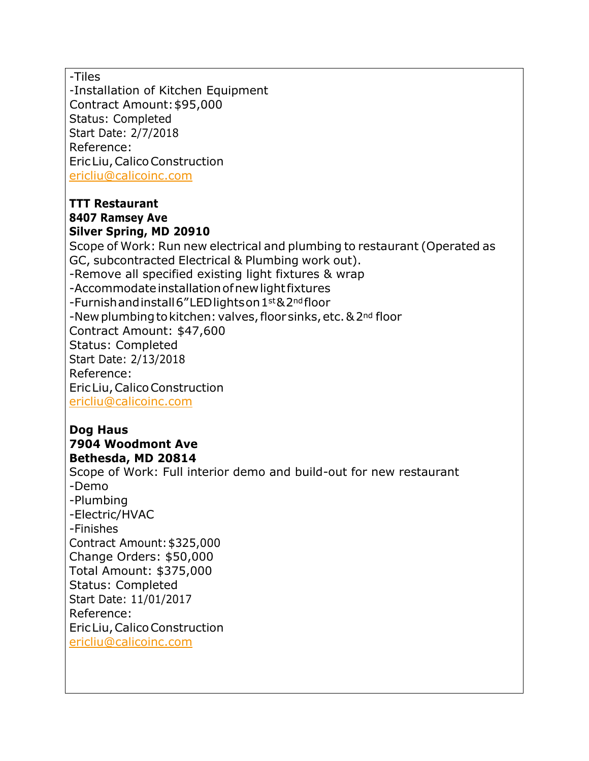-Tiles

-Installation of Kitchen Equipment Contract Amount: \$95,000 Status: Completed Start Date: 2/7/2018 Reference: Eric Liu, Calico Construction [ericliu@calicoinc.com](mailto:ericliu@calicoinc.com) 

#### **TTT Restaurant 8407 Ramsey Ave Silver Spring, MD 20910**

Scope of Work: Run new electrical and plumbing to restaurant (Operated as GC, subcontracted Electrical & Plumbing work out). -Remove all specified existing light fixtures & wrap -Accommodate installation ofnew light fixtures -Furnish and install 6"LED lights on 1st & 2nd floor -New plumbing to kitchen: valves, floor sinks, etc. & 2<sup>nd</sup> floor Contract Amount: \$47,600 Status: Completed Start Date: 2/13/2018 Reference: Eric Liu, Calico Construction [ericliu@calicoinc.com](mailto:ericliu@calicoinc.com) 

#### **Dog Haus 7904 Woodmont Ave Bethesda, MD 20814**

Scope of Work: Full interior demo and build-out for new restaurant -Demo -Plumbing -Electric/HVAC -Finishes Contract Amount: \$325,000 Change Orders: \$50,000 Total Amount: \$375,000 Status: Completed Start Date: 11/01/2017 Reference: Eric Liu, Calico Construction [ericliu@calicoinc.com](mailto:ericliu@calicoinc.com)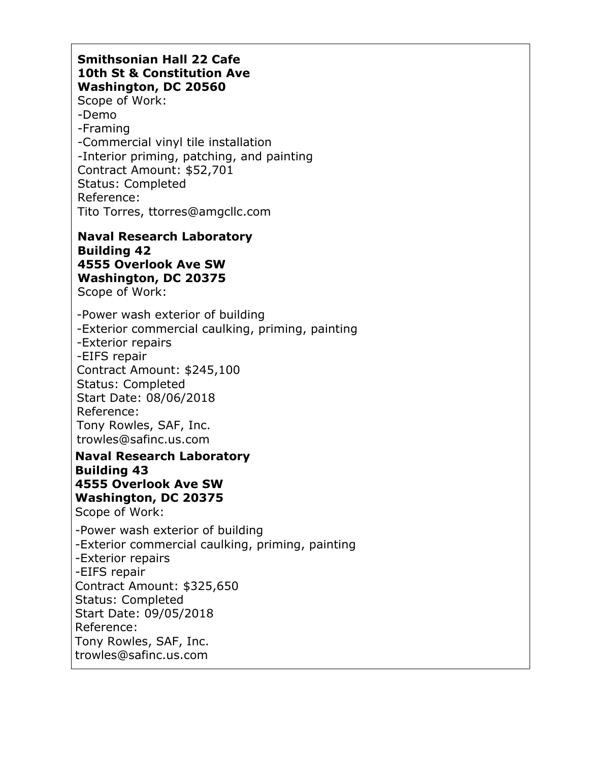#### **Smithsonian Hall 22 Cafe 10th St & Constitution Ave Washington, DC 20560**

Scope of Work: -Demo -Framing -Commercial vinyl tile installation -Interior priming, patching, and painting Contract Amount: \$52,701 Status: Completed Reference: Tito Torres, ttorres@amgcllc.com

## **Naval Research Laboratory Building 42 4555 Overlook Ave SW Washington, DC 20375**

Scope of Work:

-Power wash exterior of building -Exterior commercial caulking, priming, painting -Exterior repairs -EIFS repair Contract Amount: \$245,100 Status: Completed Start Date: 08/06/2018 Reference: Tony Rowles, SAF, Inc. trowles@safinc.us.com

**Naval Research Laboratory Building 43 4555 Overlook Ave SW Washington, DC 20375** Scope of Work:

-Power wash exterior of building -Exterior commercial caulking, priming, painting -Exterior repairs -EIFS repair Contract Amount: \$325,650 Status: Completed Start Date: 09/05/2018 Reference: Tony Rowles, SAF, Inc. trowles@safinc.us.com